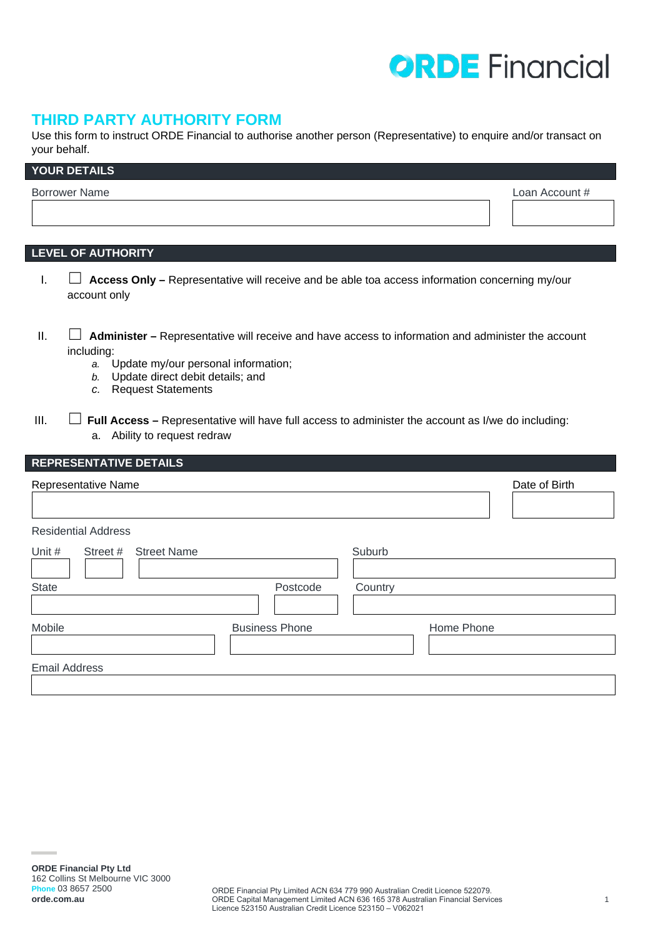# **ORDE** Financial

## **THIRD PARTY AUTHORITY FORM**

Use this form to instruct ORDE Financial to authorise another person (Representative) to enquire and/or transact on your behalf.

| YOUR DETAILS         |                |
|----------------------|----------------|
| <b>Borrower Name</b> | Loan Account # |
|                      |                |

## **LEVEL OF AUTHORITY**

- I. ☐ **Access Only –** Representative will receive and be able toa access information concerning my/our account only
- II. ☐ **Administer** Representative will receive and have access to information and administer the account including:
	- *a.* Update my/our personal information;
	- *b.* Update direct debit details; and
	- *c.* Request Statements
- III.  $\Box$  **Full Access** Representative will have full access to administer the account as I/we do including: a. Ability to request redraw

| <b>REPRESENTATIVE DETAILS</b>            |                       |         |               |
|------------------------------------------|-----------------------|---------|---------------|
| Representative Name                      |                       |         | Date of Birth |
| <b>Residential Address</b>               |                       |         |               |
| Unit #<br><b>Street Name</b><br>Street # |                       | Suburb  |               |
| <b>State</b>                             | Postcode              | Country |               |
| Mobile                                   | <b>Business Phone</b> |         | Home Phone    |
| <b>Email Address</b>                     |                       |         |               |
|                                          |                       |         |               |